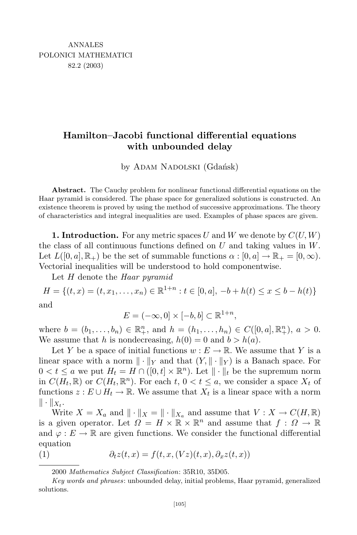## **Hamilton–Jacobi functional differential equations with unbounded delay**

by ADAM NADOLSKI (Gdańsk)

**Abstract.** The Cauchy problem for nonlinear functional differential equations on the Haar pyramid is considered. The phase space for generalized solutions is constructed. An existence theorem is proved by using the method of successive approximations. The theory of characteristics and integral inequalities are used. Examples of phase spaces are given.

**1. Introduction.** For any metric spaces  $U$  and  $W$  we denote by  $C(U, W)$ the class of all continuous functions defined on *U* and taking values in *W*. Let  $L([0, a], \mathbb{R}_+)$  be the set of summable functions  $\alpha : [0, a] \to \mathbb{R}_+ = [0, \infty)$ . Vectorial inequalities will be understood to hold componentwise.

Let *H* denote the *Haar pyramid*

 $H = \{(t, x) = (t, x_1, \dots, x_n) \in \mathbb{R}^{1+n} : t \in [0, a], -b + h(t) \le x \le b - h(t)\}\$ and

$$
E = (-\infty, 0] \times [-b, b] \subset \mathbb{R}^{1+n},
$$

where  $b = (b_1, ..., b_n) \in \mathbb{R}^n_+$ , and  $h = (h_1, ..., h_n) \in C([0, a], \mathbb{R}^n_+), a > 0$ . We assume that *h* is nondecreasing,  $h(0) = 0$  and  $b > h(a)$ .

Let *Y* be a space of initial functions  $w: E \to \mathbb{R}$ . We assume that *Y* is a linear space with a norm  $\| \cdot \|_Y$  and that  $(Y, \| \cdot \|_Y)$  is a Banach space. For  $0 < t \le a$  we put  $H_t = H \cap ([0, t] \times \mathbb{R}^n)$ . Let  $\|\cdot\|_t$  be the supremum norm in  $C(H_t, \mathbb{R})$  or  $C(H_t, \mathbb{R}^n)$ . For each  $t, 0 < t \leq a$ , we consider a space  $X_t$  of functions  $z : E \cup H_t \to \mathbb{R}$ . We assume that  $X_t$  is a linear space with a norm  $\|\cdot\|_{X_t}.$ 

Write  $X = X_a$  and  $\| \cdot \|_X = \| \cdot \|_{X_a}$  and assume that  $V: X \to C(H, \mathbb{R})$ is a given operator. Let  $\Omega = H \times \mathbb{R} \times \mathbb{R}^n$  and assume that  $f : \Omega \to \mathbb{R}$ and  $\varphi : E \to \mathbb{R}$  are given functions. We consider the functional differential equation

(1) 
$$
\partial_t z(t,x) = f(t,x,(Vz)(t,x),\partial_x z(t,x))
$$

<sup>2000</sup> *Mathematics Subject Classification*: 35R10, 35D05.

*Key words and phrases*: unbounded delay, initial problems, Haar pyramid, generalized solutions.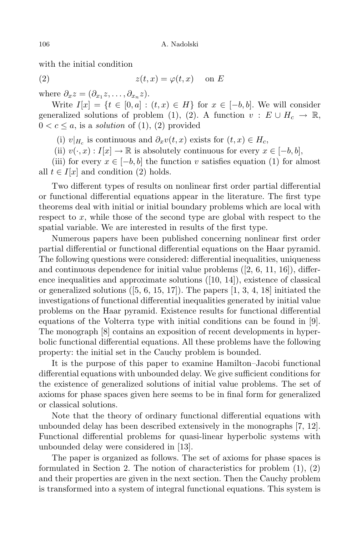with the initial condition

$$
(2) \t z(t,x) = \varphi(t,x) \quad \text{on } E
$$

where  $\partial_x z = (\partial_{x_1} z, \dots, \partial_{x_n} z)$ .

Write  $I[x] = \{t \in [0, a] : (t, x) \in H\}$  for  $x \in [-b, b]$ . We will consider generalized solutions of problem (1), (2). A function  $v : E \cup H_c \rightarrow \mathbb{R}$ ,  $0 < c \leq a$ , is a *solution* of (1), (2) provided

(i)  $v|_{H_c}$  is continuous and  $\partial_x v(t, x)$  exists for  $(t, x) \in H_c$ ,

(ii)  $v(\cdot, x) : I[x] \to \mathbb{R}$  is absolutely continuous for every  $x \in [-b, b]$ ,

(iii) for every  $x \in [-b, b]$  the function *v* satisfies equation (1) for almost all  $t \in I[x]$  and condition (2) holds.

Two different types of results on nonlinear first order partial differential or functional differential equations appear in the literature. The first type theorems deal with initial or initial boundary problems which are local with respect to *x*, while those of the second type are global with respect to the spatial variable. We are interested in results of the first type.

Numerous papers have been published concerning nonlinear first order partial differential or functional differential equations on the Haar pyramid. The following questions were considered: differential inequalities, uniqueness and continuous dependence for initial value problems  $(2, 6, 11, 16)$ , difference inequalities and approximate solutions ([10, 14]), existence of classical or generalized solutions  $(5, 6, 15, 17)$ . The papers  $[1, 3, 4, 18]$  initiated the investigations of functional differential inequalities generated by initial value problems on the Haar pyramid. Existence results for functional differential equations of the Volterra type with initial conditions can be found in [9]. The monograph [8] contains an exposition of recent developments in hyperbolic functional differential equations. All these problems have the following property: the initial set in the Cauchy problem is bounded.

It is the purpose of this paper to examine Hamilton–Jacobi functional differential equations with unbounded delay. We give sufficient conditions for the existence of generalized solutions of initial value problems. The set of axioms for phase spaces given here seems to be in final form for generalized or classical solutions.

Note that the theory of ordinary functional differential equations with unbounded delay has been described extensively in the monographs [7, 12]. Functional differential problems for quasi-linear hyperbolic systems with unbounded delay were considered in [13].

The paper is organized as follows. The set of axioms for phase spaces is formulated in Section 2. The notion of characteristics for problem  $(1), (2)$ and their properties are given in the next section. Then the Cauchy problem is transformed into a system of integral functional equations. This system is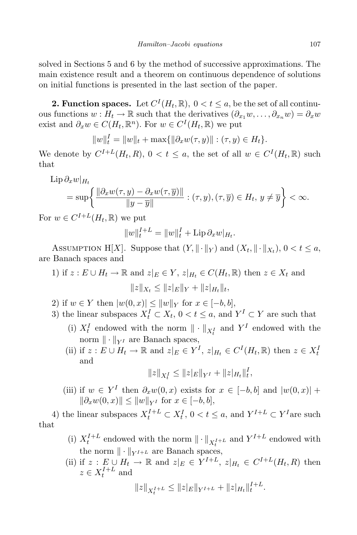solved in Sections 5 and 6 by the method of successive approximations. The main existence result and a theorem on continuous dependence of solutions on initial functions is presented in the last section of the paper.

**2. Function spaces.** Let  $C^{I}(H_t, \mathbb{R})$ ,  $0 < t \leq a$ , be the set of all continuous functions  $w : H_t \to \mathbb{R}$  such that the derivatives  $(\partial_{x_1} w, \dots, \partial_{x_n} w) = \partial_x w$ exist and  $\partial_x w \in C(H_t, \mathbb{R}^n)$ . For  $w \in C^I(H_t, \mathbb{R})$  we put

$$
||w||_t^I = ||w||_t + \max{||\partial_x w(\tau, y)||} : (\tau, y) \in H_t\}.
$$

We denote by  $C^{I+L}(H_t, R)$ ,  $0 < t \le a$ , the set of all  $w \in C^I(H_t, \mathbb{R})$  such that

$$
\text{Lip}\,\partial_x w|_{H_t}
$$
\n
$$
= \sup \left\{ \frac{\|\partial_x w(\tau, y) - \partial_x w(\tau, \overline{y})\|}{\|y - \overline{y}\|} : (\tau, y), (\tau, \overline{y}) \in H_t, y \neq \overline{y} \right\} < \infty.
$$

For  $w \in C^{I+L}(H_t, \mathbb{R})$  we put

$$
||w||_{t}^{I+L} = ||w||_{t}^{I} + \text{Lip}\,\partial_{x}w|_{H_{t}}.
$$

ASSUMPTION H[X]. Suppose that  $(Y, \| \cdot \|_Y)$  and  $(X_t, \| \cdot \|_{X_t}), 0 < t \le a$ , are Banach spaces and

1) if 
$$
z : E \cup H_t \to \mathbb{R}
$$
 and  $z|_E \in Y$ ,  $z|_{H_t} \in C(H_t, \mathbb{R})$  then  $z \in X_t$  and  

$$
||z||_{X_t} \le ||z|_E||_Y + ||z|_{H_t}||_t,
$$

- 2) if  $w \in Y$  then  $|w(0, x)| \leq ||w||_Y$  for  $x \in [-b, b],$
- 3) the linear subspaces  $X_t^I \subset X_t$ ,  $0 < t \le a$ , and  $Y^I \subset Y$  are such that
	- (i)  $X_t^I$  endowed with the norm  $\|\cdot\|_{X_t^I}$  and  $Y^I$  endowed with the norm  $\|\cdot\|_{V^I}$  are Banach spaces,
	- (ii) if  $z: E \cup H_t \to \mathbb{R}$  and  $z|_E \in Y^I$ ,  $z|_{H_t} \in C^I(H_t, \mathbb{R})$  then  $z \in X_t^I$ and

$$
||z||_{X_t^I} \leq ||z|_E||_{Y^I} + ||z|_{H_t}||_t^I,
$$

(iii) if  $w \in Y^I$  then  $\partial_x w(0, x)$  exists for  $x \in [-b, b]$  and  $|w(0, x)| +$  $\|\partial_x w(0, x)\| \le \|w\|_{Y^I}$  for  $x \in [-b, b]$ ,

4) the linear subspaces  $X_t^{I+L} \subset X_t^I$ ,  $0 < t \le a$ , and  $Y^{I+L} \subset Y^I$  are such that

- (i)  $X_t^{I+L}$  endowed with the norm  $\|\cdot\|_{X_t^{I+L}}$  and  $Y^{I+L}$  endowed with the norm  $\|\cdot\|_{Y^{I+L}}$  are Banach spaces,
- (ii) if  $z: E \cup H_t \to \mathbb{R}$  and  $z|_E \in Y^{I+L}$ ,  $z|_{H_t} \in C^{I+L}(H_t, R)$  then  $z \in X_t^{I+L}$  and

$$
||z||_{X_t^{I+L}} \leq ||z|_E||_{Y^{I+L}} + ||z|_{H_t}||_t^{I+L}.
$$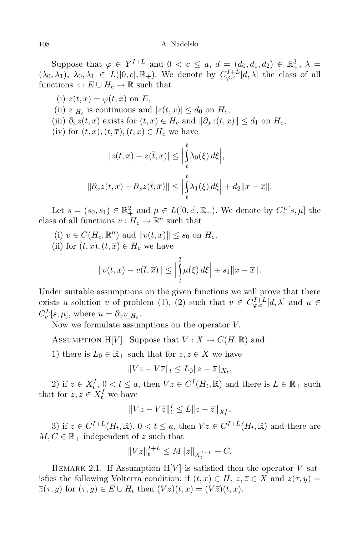Suppose that  $\varphi \in Y^{I+L}$  and  $0 < c \le a, d = (d_0, d_1, d_2) \in \mathbb{R}^3_+, \lambda =$  $(\lambda_0, \lambda_1), \lambda_0, \lambda_1 \in L([0, c], \mathbb{R}_+)$ . We denote by  $C^{I+L}_{\varphi, c}[d, \lambda]$  the class of all functions  $z : E \cup H_c \to \mathbb{R}$  such that

(i)  $z(t, x) = \varphi(t, x)$  on E,

 $|z(t,x)| \leq d_0$  on  $H_c$ ,  $|z(t,x)| \leq d_0$  on  $H_c$ ,

- (iii)  $\partial_x z(t, x)$  exists for  $(t, x) \in H_c$  and  $\|\partial_x z(t, x)\| \le d_1$  on  $H_c$ ,
- (iv) for  $(t, x)$ ,  $(\overline{t}, \overline{x})$ ,  $(\overline{t}, x) \in H_c$  we have

$$
|z(t, x) - z(\overline{t}, x)| \leq \Big| \int_{t}^{t} \lambda_0(\xi) d\xi \Big|,
$$
  

$$
\|\partial_x z(t, x) - \partial_x z(\overline{t}, \overline{x})\| \leq \Big| \int_{t}^{\overline{t}} \lambda_1(\xi) d\xi \Big| + d_2 \|x - \overline{x}\|.
$$

Let  $s = (s_0, s_1) \in \mathbb{R}^2_+$  and  $\mu \in L([0, c], \mathbb{R}_+)$ . We denote by  $C_c^L[s, \mu]$  the class of all functions  $v: H_c \to \mathbb{R}^n$  such that

- $(v)$   $v \in C(H_c, \mathbb{R}^n)$  and  $||v(t, x)|| \leq s_0$  on  $H_c$ ,
- (ii) for  $(t, x)$ ,  $(\overline{t}, \overline{x}) \in H_c$  we have

$$
||v(t,x)-v(\overline{t},\overline{x})|| \leq \left|\int_{t}^{\overline{t}} \mu(\xi) d\xi\right| + s_1||x-\overline{x}||.
$$

Under suitable assumptions on the given functions we will prove that there exists a solution *v* of problem (1), (2) such that  $v \in C^{I+L}_{\varphi,c}[d,\lambda]$  and  $u \in$  $C_c^L[s,\mu],$  where  $u = \partial_x v|_{H_c}$ .

Now we formulate assumptions on the operator *V.*

ASSUMPTION H[*V*]. Suppose that  $V: X \to C(H, \mathbb{R})$  and

1) there is  $L_0 \in \mathbb{R}_+$  such that for  $z, \overline{z} \in X$  we have

$$
||Vz - V\overline{z}||_t \le L_0 ||z - \overline{z}||_{X_t},
$$

2) if  $z \in X_t^I$ ,  $0 < t \le a$ , then  $Vz \in C^I(H_t, \mathbb{R})$  and there is  $L \in \mathbb{R}_+$  such that for  $z, \overline{z} \in X_t^I$  we have

$$
||Vz - V\overline{z}||_t^I \le L||z - \overline{z}||_{X_t^I},
$$

3) if  $z \in C^{I+L}(H_t, \mathbb{R})$ ,  $0 < t \le a$ , then  $Vz \in C^{I+L}(H_t, \mathbb{R})$  and there are  $M, C \in \mathbb{R}_+$  independent of *z* such that

$$
||Vz||_{t}^{I+L} \le M||z||_{X_{t}^{I+L}} + C.
$$

REMARK 2.1. If Assumption  $H[V]$  is satisfied then the operator V satisfies the following Volterra condition: if  $(t, x) \in H$ ,  $z, \overline{z} \in X$  and  $z(\tau, y) =$  $\overline{z}(\tau, y)$  for  $(\tau, y) \in E \cup H_t$  then  $(Vz)(t, x) = (V\overline{z})(t, x)$ .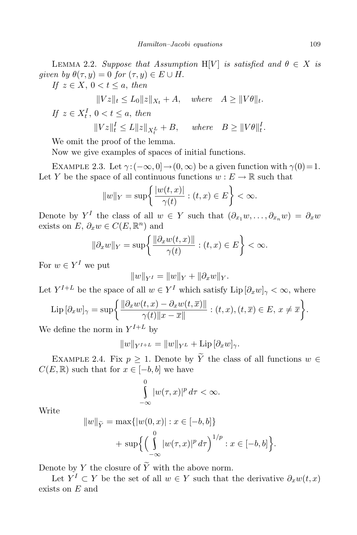LEMMA 2.2. *Suppose that Assumption* H[V] *is satisfied and*  $\theta \in X$  *is given by*  $\theta(\tau, y) = 0$  *for*  $(\tau, y) \in E \cup H$ .

*If*  $z \in X$ ,  $0 < t \leq a$ , *then*  $\frac{1}{2}$  *x z L k*<sub>*x*</sub><sup>*k*</sup> + *A x k*<sub>*z*</sub><sub>*x*</sub><sub>*k*</sub><sup>*x*</sup> + *A x k*<sub>*x*</sub><sup>*x*</sup> + *A x k*<sub>*z*</sub><sup>*x*</sup> + *A x k*<sub>*z*</sub><sup>*x*</sup> + *A x* + *A x* + *A x* + *A x* + *A x* + *A x* + *A* + *A* + *A* 

$$
||Vz||_t \le L_0 ||z||_{X_t} + A, \quad where \quad A \ge ||V\theta||_t.
$$
  
If  $z \in X_t^I$ ,  $0 < t \le a$ , then

$$
||Vz||_t^I \le L||z||_{X_t^L} + B, \quad where \quad B \ge ||V\theta||_t^I.
$$

We omit the proof of the lemma.

Now we give examples of spaces of initial functions.

EXAMPLE 2.3. Let  $\gamma$ : $(-\infty, 0] \rightarrow (0, \infty)$  be a given function with  $\gamma(0) = 1$ . Let *Y* be the space of all continuous functions  $w : E \to \mathbb{R}$  such that

$$
||w||_Y = \sup\left\{\frac{|w(t,x)|}{\gamma(t)} : (t,x) \in E\right\} < \infty.
$$

Denote by  $Y^I$  the class of all  $w \in Y$  such that  $(\partial_{x_1} w, \ldots, \partial_{x_n} w) = \partial_x w$ exists on  $E$ ,  $\partial_x w \in C(E, \mathbb{R}^n)$  and

$$
\|\partial_x w\|_Y = \sup \left\{ \frac{\|\partial_x w(t,x)\|}{\gamma(t)} : (t,x) \in E \right\} < \infty.
$$

For  $w \in Y^I$  we put

$$
||w||_{Y^I} = ||w||_Y + ||\partial_x w||_Y.
$$

Let  $Y^{I+L}$  be the space of all  $w \in Y^I$  which satisfy  $\text{Lip}[\partial_x w]_\gamma < \infty$ , where

$$
\operatorname{Lip} \left[ \partial_x w \right]_{\gamma} = \sup \left\{ \frac{\left\| \partial_x w(t, x) - \partial_x w(t, \overline{x}) \right\|}{\gamma(t) \|x - \overline{x}\|} : (t, x), (t, \overline{x}) \in E, \ x \neq \overline{x} \right\}.
$$

We define the norm in  $Y^{I+L}$  by

$$
||w||_{Y^{I+L}} = ||w||_{Y^L} + \mathrm{Lip}\left[\partial_x w\right]_{\gamma}.
$$

EXAMPLE 2.4. Fix  $p \geq 1$ . Denote by  $\widetilde{Y}$  the class of all functions  $w \in$ *C*(*E*,  $\mathbb{R}$ ) such that for  $x \in [-b, b]$  we have

$$
\int_{-\infty}^{0} |w(\tau,x)|^p d\tau < \infty.
$$

Write

$$
||w||_{\tilde{Y}} = \max\{|w(0, x)| : x \in [-b, b]\}
$$
  
+ 
$$
\sup \left\{ \left( \int_{-\infty}^{0} |w(\tau, x)|^p d\tau \right)^{1/p} : x \in [-b, b] \right\}.
$$

Denote by *Y* the closure of  $\widetilde{Y}$  with the above norm.

Let  $Y^I \subset Y$  be the set of all  $w \in Y$  such that the derivative  $\partial_x w(t, x)$ exists on *E* and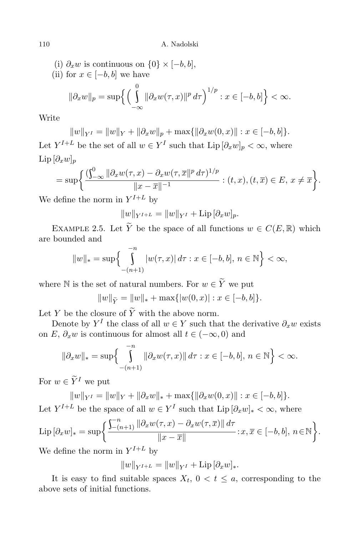(i)  $\partial_x w$  is continuous on  $\{0\} \times [-b, b]$ ,<br>(ii) for  $x \in [-b, b]$  we have

(ii) for 
$$
x \in [-b, b]
$$
 we have  
\n
$$
\|\partial_x w\|_p = \sup \left\{ \left( \int_{-\infty}^0 \|\partial_x w(\tau, x)\|^p d\tau \right)^{1/p} : x \in [-b, b] \right\} < \infty.
$$

Write

$$
||w||_{Y^I} = ||w||_Y + ||\partial_x w||_p + \max{||\partial_x w(0, x)|| : x \in [-b, b] }.
$$

Let  $Y^{I+L}$  be the set of all  $w \in Y^I$  such that  $\text{Lip}[\partial_x w]_p < \infty$ , where Lip  $[∂<sub>x</sub>w]<sub>p</sub>$ 

$$
= \sup \bigg\{ \frac{(\int_{-\infty}^{0} \|\partial_x w(\tau,x) - \partial_x w(\tau,\overline{x}\|^p d\tau)^{1/p}}{\|x - \overline{x}\|^{-1}} : (t,x), (t,\overline{x}) \in E, x \neq \overline{x} \bigg\}.
$$

We define the norm in  $Y^{I+L}$  by

$$
||w||_{Y^{I+L}} = ||w||_{Y^{I}} + \text{Lip} \, [\partial_x w]_p.
$$

EXAMPLE 2.5. Let  $\widetilde{Y}$  be the space of all functions  $w \in C(E, \mathbb{R})$  which are bounded and

$$
||w||_* = \sup \left\{ \int_{-(n+1)}^{-n} |w(\tau, x)| d\tau : x \in [-b, b], n \in \mathbb{N} \right\} < \infty,
$$

where N is the set of natural numbers. For  $w \in \widetilde{Y}$  we put

$$
||w||_{\tilde{Y}} = ||w||_* + \max{ |w(0, x)| : x \in [-b, b] }.
$$

Let  $Y$  be the closure of  $\overline{Y}$  with the above norm.

Denote by  $Y^I$  the class of all  $w \in Y$  such that the derivative  $\partial_x w$  exists on *E*,  $\partial_x w$  is continuous for almost all  $t \in (-\infty, 0)$  and

$$
\|\partial_x w\|_{*} = \sup \Biggl\{ \int_{-(n+1)}^{-n} \|\partial_x w(\tau, x)\| \, d\tau : x \in [-b, b], \, n \in \mathbb{N} \Biggr\} < \infty.
$$

For  $w \in \widetilde{Y}^I$  we put

 $||w||_{Y^I} = ||w||_Y + ||\partial_x w||_* + \max{||\partial_x w(0, x)|| : x \in [-b, b]}.$ 

Let 
$$
Y^{I+L}
$$
 be the space of all  $w \in Y^I$  such that  $\text{Lip}[\partial_x w]_* < \infty$ , where  

$$
(\int_{-\infty}^{\infty} ||\partial_x w(\tau, x) - \partial_x w(\tau, \overline{x})|| d\tau)
$$

$$
\operatorname{Lip} \left[ \partial_x w \right]_{*} = \sup \left\{ \frac{\sum_{-n+1}^n \|\partial_x w(\tau, x) - \partial_x w(\tau, \overline{x})\| \, d\tau}{\|x - \overline{x}\|} : x, \overline{x} \in [-b, b], \, n \in \mathbb{N} \right\}.
$$

We define the norm in  $Y^{I+L}$  by

$$
||w||_{Y^{I+L}} = ||w||_{Y^{I}} + \text{Lip} \, [\partial_x w]_{*}.
$$

It is easy to find suitable spaces  $X_t$ ,  $0 < t \le a$ , corresponding to the above sets of initial functions.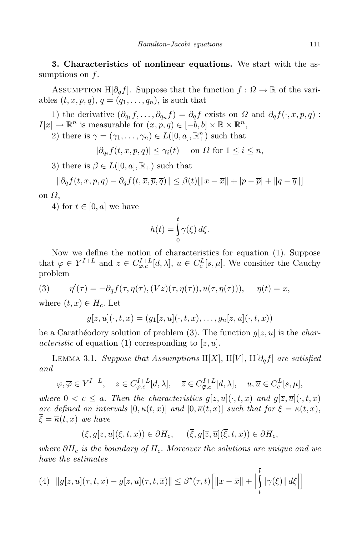**3. Characteristics of nonlinear equations.** We start with the assumptions on *f*.

ASSUMPTION H $[\partial_q f]$ . Suppose that the function  $f : \Omega \to \mathbb{R}$  of the variables  $(t, x, p, q)$ ,  $q = (q_1, \ldots, q_n)$ , is such that

1) the derivative  $(\partial_{q_1} f, \ldots, \partial_{q_n} f) = \partial_q f$  exists on  $\Omega$  and  $\partial_q f(\cdot, x, p, q)$ :  $I[x] \to \mathbb{R}^n$  is measurable for  $(x, p, q) \in [-b, b] \times \mathbb{R} \times \mathbb{R}^n$ ,

2) there is  $\gamma = (\gamma_1, \ldots, \gamma_n) \in L([0, a], \mathbb{R}^n_+)$  such that

 $|\partial_{q_i} f(t, x, p, q)| \leq \gamma_i(t)$  on *Ω* for  $1 \leq i \leq n$ ,

3) there is  $\beta \in L([0, a], \mathbb{R}_+)$  such that

$$
\|\partial_q f(t, x, p, q) - \partial_q f(t, \overline{x}, \overline{p}, \overline{q})\| \le \beta(t) [\|x - \overline{x}\| + |p - \overline{p}| + \|q - \overline{q}\|]
$$

on *Ω,*

4) for  $t \in [0, a]$  we have

$$
h(t) = \int_{0}^{t} \gamma(\xi) d\xi.
$$

Now we define the notion of characteristics for equation (1). Suppose that  $\varphi \in Y^{I+L}$  and  $z \in C_{\varphi,c}^{I+L}[d,\lambda], u \in C_c^L[s,\mu].$  We consider the Cauchy problem

(3) 
$$
\eta'(\tau) = -\partial_q f(\tau, \eta(\tau), (Vz)(\tau, \eta(\tau)), u(\tau, \eta(\tau))), \quad \eta(t) = x,
$$

where  $(t, x) \in H_c$ . Let

$$
g[z, u](\cdot, t, x) = (g_1[z, u](\cdot, t, x), \dots, g_n[z, u](\cdot, t, x))
$$

be a Caratheria odory solution of problem (3). The function  $q[z, u]$  is the *characteristic* of equation (1) corresponding to [*z, u*]*.*

LEMMA 3.1. *Suppose that Assumptions* H[X], H[V], H[ $\partial_a f$ ] *are satisfied and*

$$
\varphi, \overline{\varphi} \in Y^{I+L}, \quad z \in C^{I+L}_{\varphi,c}[d,\lambda], \quad \overline{z} \in C^{I+L}_{\overline{\varphi},c}[d,\lambda], \quad u, \overline{u} \in C^{L}_{c}[s,\mu],
$$

*where*  $0 < c \le a$ . *Then the characteristics*  $g[z, u](\cdot, t, x)$  *and*  $g[\overline{z}, \overline{u}](\cdot, t, x)$ *are defined on intervals*  $[0, \kappa(t, x)]$  *and*  $[0, \overline{\kappa}(t, x)]$  *such that for*  $\xi = \kappa(t, x)$ ,  $\overline{\xi} = \overline{\kappa}(t, x)$  *we have* 

$$
(\xi, g[z, u](\xi, t, x)) \in \partial H_c, \quad (\overline{\xi}, g[\overline{z}, \overline{u}](\overline{\xi}, t, x)) \in \partial H_c,
$$

*where ∂H<sup>c</sup> is the boundary of Hc. Moreover the solutions are unique and we have the estimates*

(4) 
$$
||g[z, u](\tau, t, x) - g[z, u](\tau, \overline{t}, \overline{x})|| \leq \beta^*(\tau, t) \Big[ ||x - \overline{x}|| + \Big| \int_t^{\overline{t}} ||\gamma(\xi)|| d\xi \Big| \Big]
$$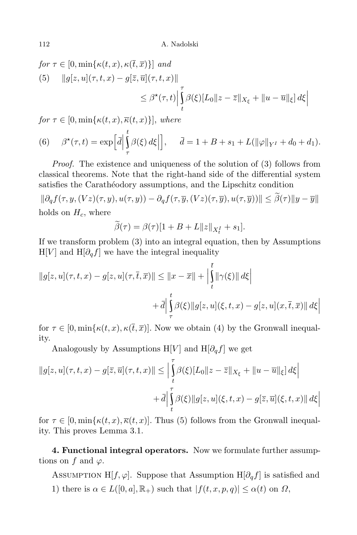for 
$$
\tau \in [0, \min{\kappa(t, x), \kappa(\overline{t}, \overline{x})}]
$$
 and  
\n(5)  $||g[z, u](\tau, t, x) - g[\overline{z}, \overline{u}](\tau, t, x)||$   
\n $\leq \beta^*(\tau, t) \Big| \int_t^{\tau} \beta(\xi) [L_0 || z - \overline{z} ||_{X_{\xi}} + ||u - \overline{u}||_{\xi}] d\xi \Big|$ 

 $for \tau \in [0, \min\{\kappa(t, x), \overline{\kappa}(t, x)\}],$  *where* 

(6) 
$$
\beta^*(\tau, t) = \exp\left[\bar{d} \Big| \int_{\tau}^{t} \beta(\xi) d\xi \Big| \right], \quad \bar{d} = 1 + B + s_1 + L(\|\varphi\|_{Y^I} + d_0 + d_1).
$$

*Proof.* The existence and uniqueness of the solution of (3) follows from classical theorems. Note that the right-hand side of the differential system satisfies the Carathéodory assumptions, and the Lipschitz condition

 $\|\partial_{q} f(\tau, y, (Vz)(\tau, y), u(\tau, y)) - \partial_{q} f(\tau, \overline{y}, (Vz)(\tau, \overline{y}), u(\tau, \overline{y}))\| \leq \tilde{\beta}(\tau) \|y - \overline{y}\|$ holds on  $H_c$ , where

$$
\widetilde{\beta}(\tau) = \beta(\tau)[1 + B + L ||z||_{X_t^I} + s_1].
$$

If we transform problem (3) into an integral equation, then by Assumptions  $H[V]$  and  $H[\partial_q f]$  we have the integral inequality

$$
||g[z, u](\tau, t, x) - g[z, u](\tau, \overline{t}, \overline{x})|| \le ||x - \overline{x}|| + \left| \int_{t}^{\overline{t}} ||\gamma(\xi)|| d\xi \right|
$$
  
+  $\overline{d} \Big| \int_{\tau}^{t} \beta(\xi) ||g[z, u](\xi, t, x) - g[z, u](x, \overline{t}, \overline{x})|| d\xi \Big|$ 

for  $\tau \in [0, \min\{\kappa(t, x), \kappa(\bar{t}, \bar{x})\]$ . Now we obtain (4) by the Gronwall inequality.

Analogously by Assumptions H[*V*] and H[ $\partial_q f$ ] we get

$$
||g[z, u](\tau, t, x) - g[\overline{z}, \overline{u}](\tau, t, x)|| \le \left| \int\limits_t^{\tau} \beta(\xi) [L_0 || z - \overline{z} ||_{X_{\xi}} + ||u - \overline{u}||_{\xi}] d\xi \right|
$$
  
+ 
$$
\overline{d} \Big| \int\limits_t^{\tau} \beta(\xi) ||g[z, u](\xi, t, x) - g[\overline{z}, \overline{u}](\xi, t, x)|| d\xi \Big|
$$

for  $\tau \in [0, \min\{\kappa(t, x), \overline{\kappa}(t, x)]$ . Thus (5) follows from the Gronwall inequality. This proves Lemma 3.1.

**4. Functional integral operators.** Now we formulate further assumptions on  $f$  and  $\varphi$ .

ASSUMPTION H[ $f, \varphi$ ]. Suppose that Assumption H[ $\partial_q f$ ] is satisfied and 1) there is  $\alpha \in L([0, a], \mathbb{R}_+)$  such that  $|f(t, x, p, q)| \leq \alpha(t)$  on  $\Omega$ ,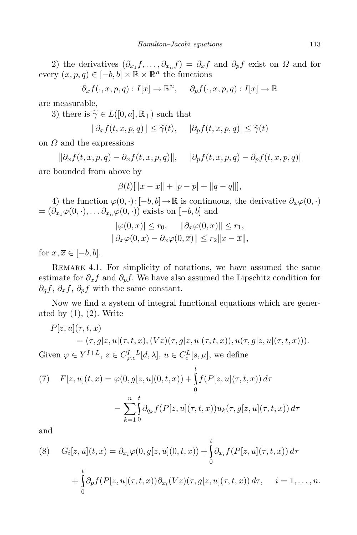2) the derivatives  $(\partial_{x_1} f, \ldots, \partial_{x_n} f) = \partial_x f$  and  $\partial_p f$  exist on  $\Omega$  and for every  $(x, p, q) \in [-b, b] \times \mathbb{R} \times \mathbb{R}^n$  the functions

$$
\partial_x f(\cdot, x, p, q) : I[x] \to \mathbb{R}^n, \quad \partial_p f(\cdot, x, p, q) : I[x] \to \mathbb{R}
$$

are measurable,

3) there is  $\tilde{\gamma} \in L([0, a], \mathbb{R}_+)$  such that

$$
\|\partial_x f(t, x, p, q)\| \le \widetilde{\gamma}(t), \quad |\partial_p f(t, x, p, q)| \le \widetilde{\gamma}(t)
$$

on *Ω* and the expressions

 $\|\partial_x f(t, x, p, q) - \partial_x f(t, \overline{x}, \overline{p}, \overline{q})\|$ ,  $|\partial_x f(t, x, p, q) - \partial_x f(t, \overline{x}, \overline{p}, \overline{q})|$ 

are bounded from above by

$$
\beta(t)[\|x - \overline{x}\| + |p - \overline{p}| + \|q - \overline{q}\|],
$$

4) the function  $\varphi(0, \cdot) : [-b, b] \to \mathbb{R}$  is continuous, the derivative  $\partial_x \varphi(0, \cdot)$  $= (\partial_{x_1} \varphi(0, \cdot), \dots \partial_{x_n} \varphi(0, \cdot))$  exists on  $[-b, b]$  and

$$
|\varphi(0, x)| \le r_0, \quad ||\partial_x \varphi(0, x)|| \le r_1,
$$
  

$$
||\partial_x \varphi(0, x) - \partial_x \varphi(0, \overline{x})|| \le r_2 ||x - \overline{x}||,
$$

for  $x, \overline{x} \in [-b, b]$ .

REMARK 4.1. For simplicity of notations, we have assumed the same estimate for  $\partial_x f$  and  $\partial_p f$ . We have also assumed the Lipschitz condition for *∂qf*, *∂xf*, *∂pf* with the same constant.

Now we find a system of integral functional equations which are generated by  $(1)$ ,  $(2)$ . Write

$$
P[z, u](\tau, t, x)
$$
  
=  $(\tau, g[z, u](\tau, t, x), (Vz)(\tau, g[z, u](\tau, t, x)), u(\tau, g[z, u](\tau, t, x))).$   
Given  $\varphi \in Y^{I+L}, z \in C_{\varphi, c}^{I+L}[d, \lambda], u \in C_{c}^{L}[s, \mu],$  we define

(7) 
$$
F[z, u](t, x) = \varphi(0, g[z, u](0, t, x)) + \int_{0}^{t} f(P[z, u](\tau, t, x)) d\tau - \sum_{k=1}^{n} \int_{0}^{t} \partial_{q_k} f(P[z, u](\tau, t, x)) u_k(\tau, g[z, u](\tau, t, x)) d\tau
$$

and

(8) 
$$
G_i[z, u](t, x) = \partial_{x_i} \varphi(0, g[z, u](0, t, x)) + \int_0^t \partial_{x_i} f(P[z, u](\tau, t, x)) d\tau
$$

$$
+ \int_0^t \partial_p f(P[z, u](\tau, t, x)) \partial_{x_i}(Vz)(\tau, g[z, u](\tau, t, x)) d\tau, \quad i = 1, ..., n.
$$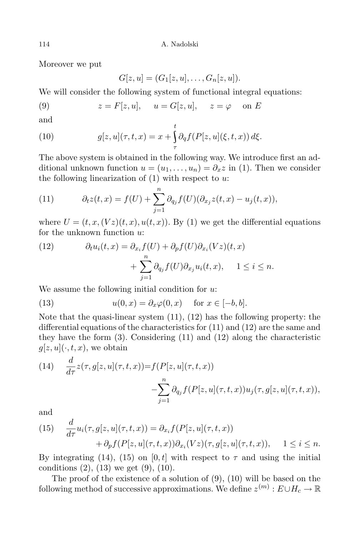Moreover we put

$$
G[z, u] = (G1[z, u], \ldots, Gn[z, u]).
$$

We will consider the following system of functional integral equations:

(9) 
$$
z = F[z, u], \quad u = G[z, u], \quad z = \varphi \quad \text{on } E
$$

and

(10) 
$$
g[z, u](\tau, t, x) = x + \int_{\tau}^{t} \partial_{q} f(P[z, u](\xi, t, x)) d\xi.
$$

The above system is obtained in the following way. We introduce first an additional unknown function  $u = (u_1, \ldots, u_n) = \partial_x z$  in (1). Then we consider the following linearization of (1) with respect to *u*:

(11) 
$$
\partial_t z(t,x) = f(U) + \sum_{j=1}^n \partial_{q_j} f(U)(\partial_{x_j} z(t,x) - u_j(t,x)),
$$

where  $U = (t, x, (Vz)(t, x), u(t, x))$ . By (1) we get the differential equations for the unknown function *u*:

(12) 
$$
\partial_t u_i(t,x) = \partial_{x_i} f(U) + \partial_p f(U) \partial_{x_i} (Vz)(t,x) + \sum_{j=1}^n \partial_{q_j} f(U) \partial_{x_j} u_i(t,x), \quad 1 \le i \le n.
$$

We assume the following initial condition for *u*:

(13) 
$$
u(0,x) = \partial_x \varphi(0,x) \quad \text{for } x \in [-b, b].
$$

Note that the quasi-linear system (11), (12) has the following property: the differential equations of the characteristics for (11) and (12) are the same and they have the form (3). Considering (11) and (12) along the characteristic  $g[z, u](\cdot, t, x)$ , we obtain

(14) 
$$
\frac{d}{d\tau}z(\tau, g[z, u](\tau, t, x)) = f(P[z, u](\tau, t, x))
$$

$$
-\sum_{j=1}^{n} \partial_{q_j} f(P[z, u](\tau, t, x))u_j(\tau, g[z, u](\tau, t, x)),
$$

and

(15) 
$$
\frac{d}{d\tau}u_i(\tau, g[z, u](\tau, t, x)) = \partial_{x_i}f(P[z, u](\tau, t, x)) + \partial_p f(P[z, u](\tau, t, x))\partial_{x_i}(Vz)(\tau, g[z, u](\tau, t, x)), \quad 1 \leq i \leq n.
$$

By integrating (14), (15) on [0, t] with respect to  $\tau$  and using the initial conditions  $(2)$ ,  $(13)$  we get  $(9)$ ,  $(10)$ .

The proof of the existence of a solution of  $(9)$ ,  $(10)$  will be based on the following method of successive approximations. We define  $z^{(m)}: E \cup H_c \to \mathbb{R}$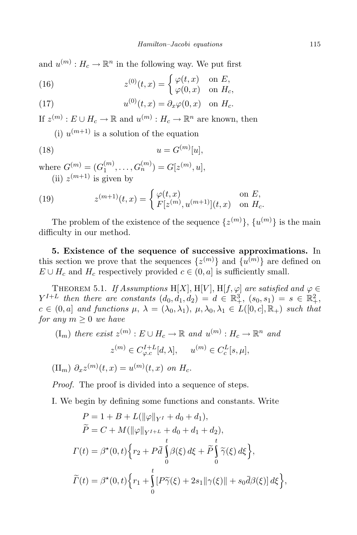and  $u^{(m)}$ :  $H_c \to \mathbb{R}^n$  in the following way. We put first

(16) 
$$
z^{(0)}(t,x) = \begin{cases} \varphi(t,x) & \text{on } E, \\ \varphi(0,x) & \text{on } H_c, \end{cases}
$$

(17) 
$$
u^{(0)}(t,x) = \partial_x \varphi(0,x) \quad \text{on } H_c.
$$

If  $z^{(m)}$ :  $E \cup H_c \to \mathbb{R}$  and  $u^{(m)}$ :  $H_c \to \mathbb{R}^n$  are known, then

(i)  $u^{(m+1)}$  is a solution of the equation

$$
(18)\qquad \qquad u = G^{(m)}[u],
$$

where  $G^{(m)} = (G_1^{(m)}$  $G_1^{(m)}, \ldots, G_n^{(m)}$ ) =  $G[z^{(m)}, u],$ (ii)  $z^{(m+1)}$  is given by

(19) 
$$
z^{(m+1)}(t,x) = \begin{cases} \varphi(t,x) & \text{on } E, \\ F[z^{(m)}, u^{(m+1)}](t,x) & \text{on } H_c. \end{cases}
$$

The problem of the existence of the sequence  $\{z^{(m)}\}, \{u^{(m)}\}$  is the main difficulty in our method.

**5. Existence of the sequence of successive approximations.** In this section we prove that the sequences  $\{z^{(m)}\}$  and  $\{u^{(m)}\}$  are defined on  $E \cup H_c$  and  $H_c$  respectively provided  $c \in (0, a]$  is sufficiently small.

THEOREM 5.1. *If Assumptions* H[*X*], H[*V*], H[*f*,  $\varphi$ ] *are satisfied and*  $\varphi \in$  $Y^{I+L}$  *then there are constants*  $(d_0, d_1, d_2) = d \in \mathbb{R}^3_+$ ,  $(s_0, s_1) = s \in \mathbb{R}^2_+$ ,  $c \in (0, a]$  and functions  $\mu$ ,  $\lambda = (\lambda_0, \lambda_1), \mu, \lambda_0, \lambda_1 \in L([0, c], \mathbb{R}_+)$  such that *for any*  $m \geq 0$  *we have* 

$$
(\mathbf{I}_m) \text{ there exist } z^{(m)} : E \cup H_c \to \mathbb{R} \text{ and } u^{(m)} : H_c \to \mathbb{R}^n \text{ and}
$$

$$
z^{(m)} \in C_{\varphi,c}^{I+L}[d,\lambda], \quad u^{(m)} \in C_c^L[s,\mu],
$$

 $(II_m) \partial_x z^{(m)}(t,x) = u^{(m)}(t,x)$  *on*  $H_c$ .

*Proof.* The proof is divided into a sequence of steps.

I. We begin by defining some functions and constants. Write

$$
P = 1 + B + L(||\varphi||_{Y^I} + d_0 + d_1),
$$
  
\n
$$
\widetilde{P} = C + M(||\varphi||_{Y^{I+L}} + d_0 + d_1 + d_2),
$$
  
\n
$$
\Gamma(t) = \beta^*(0, t) \left\{ r_2 + P \overline{d} \int_0^t \beta(\xi) d\xi + \widetilde{P} \int_0^t \widetilde{\gamma}(\xi) d\xi \right\},
$$
  
\n
$$
\widetilde{\Gamma}(t) = \beta^*(0, t) \left\{ r_1 + \int_0^t [P \widetilde{\gamma}(\xi) + 2s_1 || \gamma(\xi) || + s_0 \overline{d} \beta(\xi) ] d\xi \right\},
$$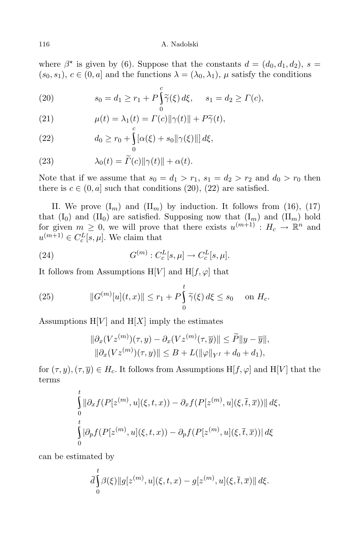where  $\beta^*$  is given by (6). Suppose that the constants  $d = (d_0, d_1, d_2), s =$  $(s_0, s_1), c \in (0, a]$  and the functions  $\lambda = (\lambda_0, \lambda_1), \mu$  satisfy the conditions

(20) 
$$
s_0 = d_1 \ge r_1 + P \int_0^c \tilde{\gamma}(\xi) d\xi, \quad s_1 = d_2 \ge \Gamma(c),
$$

(21) 
$$
\mu(t) = \lambda_1(t) = \Gamma(c) ||\gamma(t)|| + P\widetilde{\gamma}(t),
$$

(22) 
$$
d_0 \ge r_0 + \int_0^{\infty} [\alpha(\xi) + s_0 || \gamma(\xi) ||] d\xi,
$$

(23) 
$$
\lambda_0(t) = \widetilde{\Gamma}(c) \|\gamma(t)\| + \alpha(t).
$$

Note that if we assume that  $s_0 = d_1 > r_1$ ,  $s_1 = d_2 > r_2$  and  $d_0 > r_0$  then there is  $c \in (0, a]$  such that conditions (20), (22) are satisfied.

II. We prove  $(I_m)$  and  $(II_m)$  by induction. It follows from (16), (17) that  $(I_0)$  and  $(II_0)$  are satisfied. Supposing now that  $(I_m)$  and  $(II_m)$  hold for given  $m \geq 0$ , we will prove that there exists  $u^{(m+1)}$ :  $H_c \to \mathbb{R}^n$  and  $u^{(m+1)} \in C_c^L[s, \mu]$ . We claim that

(24) 
$$
G^{(m)}: C_c^L[s, \mu] \to C_c^L[s, \mu].
$$

It follows from Assumptions  $H[V]$  and  $H[f, \varphi]$  that

(25) 
$$
||G^{(m)}[u](t,x)|| \leq r_1 + P \int_0^t \widetilde{\gamma}(\xi) d\xi \leq s_0 \quad \text{on } H_c.
$$

Assumptions  $H[V]$  and  $H[X]$  imply the estimates

$$
\|\partial_x (Vz^{(m)})(\tau, y) - \partial_x (Vz^{(m)}(\tau, \overline{y})\| \le \widetilde{P} \|y - \overline{y}\|,
$$
  

$$
\|\partial_x (Vz^{(m)})(\tau, y)\| \le B + L(\|\varphi\|_{Y^I} + d_0 + d_1),
$$

for  $(\tau, y)$ ,  $(\tau, \overline{y}) \in H_c$ . It follows from Assumptions H[*f*,  $\varphi$ ] and H[*V*] that the terms

$$
\int_{0}^{t} \|\partial_x f(P[z^{(m)}, u](\xi, t, x)) - \partial_x f(P[z^{(m)}, u](\xi, \overline{t}, \overline{x}))\| d\xi,
$$
  
\n
$$
\int_{0}^{t} |\partial_p f(P[z^{(m)}, u](\xi, t, x)) - \partial_p f(P[z^{(m)}, u](\xi, \overline{t}, \overline{x}))| d\xi
$$

can be estimated by

$$
\bar{d}\int_{0}^{t}\beta(\xi)\|g[z^{(m)},u](\xi,t,x)-g[z^{(m)},u](\xi,\overline{t},\overline{x})\|d\xi.
$$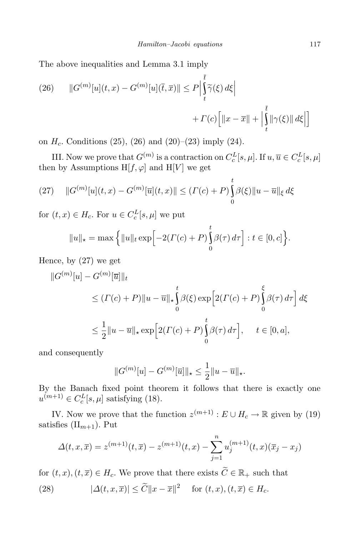The above inequalities and Lemma 3.1 imply

(26) 
$$
||G^{(m)}[u](t,x) - G^{(m)}[u](\overline{t},\overline{x})|| \leq P \Big| \int_{t}^{\overline{t}} \widetilde{\gamma}(\xi) d\xi \Big|
$$

$$
+ \Gamma(c) \Big[ ||x - \overline{x}|| + \Big| \int_{t}^{\overline{t}} ||\gamma(\xi)|| d\xi \Big| \Big]
$$

on  $H_c$ . Conditions (25), (26) and (20)–(23) imply (24).

III. Now we prove that  $G^{(m)}$  is a contraction on  $C_c^L[s,\mu]$ . If  $u,\overline{u} \in C_c^L[s,\mu]$ then by Assumptions  $H[f, \varphi]$  and  $H[V]$  we get

(27) 
$$
||G^{(m)}[u](t,x) - G^{(m)}[\overline{u}](t,x)|| \leq ( \Gamma(c) + P ) \int_{0}^{t} \beta(\xi) ||u - \overline{u}||_{\xi} d\xi
$$

for  $(t, x) \in H_c$ . For  $u \in C_c^L[s, \mu]$  we put

$$
||u||_{\star} = \max\left\{||u||_t \exp\left[-2(\Gamma(c) + P)\int_0^t \beta(\tau) d\tau\right] : t \in [0, c]\right\}.
$$

Hence, by (27) we get

$$
||G^{(m)}[u] - G^{(m)}[\overline{u}]]|_{t}
$$
  
\n
$$
\leq (T(c) + P) ||u - \overline{u}||_{\star} \int_{0}^{t} \beta(\xi) \exp\left[2(T(c) + P) \int_{0}^{\xi} \beta(\tau) d\tau\right] d\xi
$$
  
\n
$$
\leq \frac{1}{2} ||u - \overline{u}||_{\star} \exp\left[2(T(c) + P) \int_{0}^{t} \beta(\tau) d\tau\right], \quad t \in [0, a],
$$

and consequently

$$
||G^{(m)}[u] - G^{(m)}[\overline{u}]||_* \le \frac{1}{2} ||u - \overline{u}||_*.
$$

By the Banach fixed point theorem it follows that there is exactly one  $u^{(m+1)} \in C_c^L[s, \mu]$  satisfying (18).

IV. Now we prove that the function  $z^{(m+1)}$ :  $E \cup H_c \to \mathbb{R}$  given by (19) satisfies  $(\text{II}_{m+1})$ . Put

$$
\Delta(t, x, \overline{x}) = z^{(m+1)}(t, \overline{x}) - z^{(m+1)}(t, x) - \sum_{j=1}^{n} u_j^{(m+1)}(t, x) (\overline{x}_j - x_j)
$$

for  $(t, x)$ ,  $(t, \overline{x}) \in H_c$ . We prove that there exists  $\widetilde{C} \in \mathbb{R}_+$  such that

(28) 
$$
|\Delta(t, x, \overline{x})| \leq \widetilde{C} \|x - \overline{x}\|^2 \quad \text{for } (t, x), (t, \overline{x}) \in H_c.
$$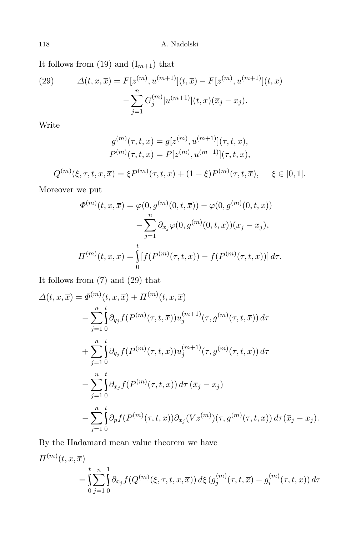It follows from  $(19)$  and  $(I_{m+1})$  that

(29) 
$$
\Delta(t, x, \overline{x}) = F[z^{(m)}, u^{(m+1)}](t, \overline{x}) - F[z^{(m)}, u^{(m+1)}](t, x) - \sum_{j=1}^{n} G_j^{(m)}[u^{(m+1)}](t, x)(\overline{x}_j - x_j).
$$

Write

$$
g^{(m)}(\tau, t, x) = g[z^{(m)}, u^{(m+1)}](\tau, t, x),
$$
  

$$
P^{(m)}(\tau, t, x) = P[z^{(m)}, u^{(m+1)}](\tau, t, x),
$$

$$
Q^{(m)}(\xi,\tau,t,x,\overline{x}) = \xi P^{(m)}(\tau,t,x) + (1-\xi)P^{(m)}(\tau,t,\overline{x}), \quad \xi \in [0,1].
$$

Moreover we put

$$
\Phi^{(m)}(t, x, \overline{x}) = \varphi(0, g^{(m)}(0, t, \overline{x})) - \varphi(0, g^{(m)}(0, t, x))
$$

$$
- \sum_{j=1}^{n} \partial_{x_j} \varphi(0, g^{(m)}(0, t, x))(\overline{x}_j - x_j),
$$

$$
\Pi^{(m)}(t, x, \overline{x}) = \int_{0}^{t} [f(P^{(m)}(\tau, t, \overline{x})) - f(P^{(m)}(\tau, t, x))] d\tau.
$$

It follows from (7) and (29) that

$$
\Delta(t, x, \overline{x}) = \Phi^{(m)}(t, x, \overline{x}) + \Pi^{(m)}(t, x, \overline{x})
$$
  
\n
$$
- \sum_{j=1}^{n} \int_{0}^{t} \partial_{q_{j}} f(P^{(m)}(\tau, t, \overline{x})) u_{j}^{(m+1)}(\tau, g^{(m)}(\tau, t, \overline{x})) d\tau
$$
  
\n
$$
+ \sum_{j=1}^{n} \int_{0}^{t} \partial_{q_{j}} f(P^{(m)}(\tau, t, x)) u_{j}^{(m+1)}(\tau, g^{(m)}(\tau, t, x)) d\tau
$$
  
\n
$$
- \sum_{j=1}^{n} \int_{0}^{t} \partial_{x_{j}} f(P^{(m)}(\tau, t, x)) d\tau (\overline{x}_{j} - x_{j})
$$
  
\n
$$
- \sum_{j=1}^{n} \int_{0}^{t} \partial_{p} f(P^{(m)}(\tau, t, x)) \partial_{x_{j}} (Vz^{(m)})(\tau, g^{(m)}(\tau, t, x)) d\tau (\overline{x}_{j} - x_{j}).
$$

By the Hadamard mean value theorem we have

$$
\Pi^{(m)}(t, x, \overline{x}) = \int_{0}^{t} \sum_{j=1}^{n} \int_{0}^{1} \partial_{x_j} f(Q^{(m)}(\xi, \tau, t, x, \overline{x})) d\xi (g_j^{(m)}(\tau, t, \overline{x}) - g_i^{(m)}(\tau, t, x)) d\tau
$$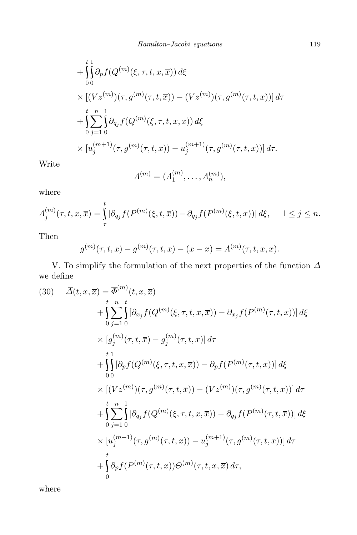+ 
$$
\int_{0}^{t} \partial_{p} f(Q^{(m)}(\xi, \tau, t, x, \overline{x})) d\xi
$$
  
\n×  $[(Vz^{(m)})(\tau, g^{(m)}(\tau, t, \overline{x})) - (Vz^{(m)})(\tau, g^{(m)}(\tau, t, x))] d\tau$   
\n+  $\int_{0}^{t} \sum_{j=1}^{n} \int_{0}^{1} \partial_{q_{j}} f(Q^{(m)}(\xi, \tau, t, x, \overline{x})) d\xi$   
\n×  $[u_{j}^{(m+1)}(\tau, g^{(m)}(\tau, t, \overline{x})) - u_{j}^{(m+1)}(\tau, g^{(m)}(\tau, t, x))] d\tau$ .

Write

$$
\Lambda^{(m)} = (\Lambda_1^{(m)}, \dots, \Lambda_n^{(m)}),
$$

where

$$
\Lambda_j^{(m)}(\tau, t, x, \overline{x}) = \int_{\tau}^t [\partial_{q_j} f(P^{(m)}(\xi, t, \overline{x})) - \partial_{q_j} f(P^{(m)}(\xi, t, x))] d\xi, \quad 1 \le j \le n.
$$

Then

$$
g^{(m)}(\tau, t, \overline{x}) - g^{(m)}(\tau, t, x) - (\overline{x} - x) = \Lambda^{(m)}(\tau, t, x, \overline{x}).
$$

V. To simplify the formulation of the next properties of the function *∆* we define (*m*)

(30) 
$$
\overline{\Delta}(t, x, \overline{x}) = \overline{\Phi}^{(m)}(t, x, \overline{x}) \n+ \sum_{0}^{t} \sum_{j=1}^{n} [\partial_{x_j} f(Q^{(m)}(\xi, \tau, t, x, \overline{x})) - \partial_{x_j} f(P^{(m)}(\tau, t, x))] d\xi \n\times [g_j^{(m)}(\tau, t, \overline{x}) - g_j^{(m)}(\tau, t, x)] d\tau \n+ \int_{0}^{t} [\partial_p f(Q^{(m)}(\xi, \tau, t, x, \overline{x})) - \partial_p f(P^{(m)}(\tau, t, x))] d\xi \n\times [(Vz^{(m)})(\tau, g^{(m)}(\tau, t, \overline{x})) - (Vz^{(m)})(\tau, g^{(m)}(\tau, t, x))] d\tau \n+ \int_{0}^{t} \sum_{j=1}^{n} [\partial_{q_j} f(Q^{(m)}(\xi, \tau, t, x, \overline{x})) - \partial_{q_j} f(P^{(m)}(\tau, t, \overline{x}))] d\xi \n\times [u_j^{(m+1)}(\tau, g^{(m)}(\tau, t, \overline{x})) - u_j^{(m+1)}(\tau, g^{(m)}(\tau, t, x))] d\tau \n+ \int_{0}^{t} \partial_p f(P^{(m)}(\tau, t, x)) \Theta^{(m)}(\tau, t, x, \overline{x}) d\tau,
$$

where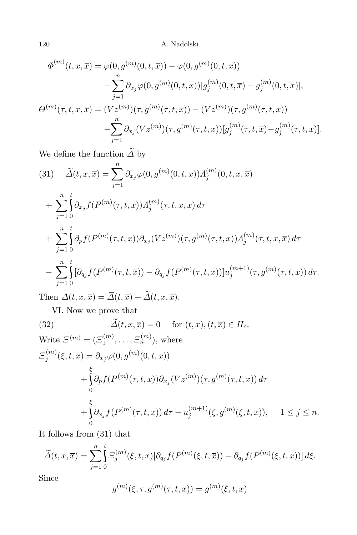$$
\overline{\Phi}^{(m)}(t, x, \overline{x}) = \varphi(0, g^{(m)}(0, t, \overline{x})) - \varphi(0, g^{(m)}(0, t, x)) \n- \sum_{j=1}^{n} \partial_{x_j} \varphi(0, g^{(m)}(0, t, x)) [g_j^{(m)}(0, t, \overline{x}) - g_j^{(m)}(0, t, x)], \n\Theta^{(m)}(\tau, t, x, \overline{x}) = (Vz^{(m)})(\tau, g^{(m)}(\tau, t, \overline{x})) - (Vz^{(m)})(\tau, g^{(m)}(\tau, t, x)) \n- \sum_{j=1}^{n} \partial_{x_j} (Vz^{(m)})(\tau, g^{(m)}(\tau, t, x)) [g_j^{(m)}(\tau, t, \overline{x}) - g_j^{(m)}(\tau, t, x)].
$$

We define the function  $\widetilde{\varDelta}$  by

(31) 
$$
\widetilde{\Delta}(t, x, \overline{x}) = \sum_{j=1}^{n} \partial_{x_j} \varphi(0, g^{(m)}(0, t, x)) \Delta_j^{(m)}(0, t, x, \overline{x}) \n+ \sum_{j=1}^{n} \int_{0}^{t} \partial_{x_j} f(P^{(m)}(\tau, t, x)) \Delta_j^{(m)}(\tau, t, x, \overline{x}) d\tau \n+ \sum_{j=1}^{n} \int_{0}^{t} \partial_p f(P^{(m)}(\tau, t, x)) \partial_{x_j} (V z^{(m)})(\tau, g^{(m)}(\tau, t, x)) \Delta_j^{(m)}(\tau, t, x, \overline{x}) d\tau \n- \sum_{j=1}^{n} \int_{0}^{t} [\partial_{q_j} f(P^{(m)}(\tau, t, \overline{x})) - \partial_{q_j} f(P^{(m)}(\tau, t, x))] u_j^{(m+1)}(\tau, g^{(m)}(\tau, t, x)) d\tau.
$$

Then  $\Delta(t, x, \overline{x}) = \overline{\Delta}(t, \overline{x}) + \widetilde{\Delta}(t, x, \overline{x}).$ 

VI. Now we prove that

(32) 
$$
\Delta(t, x, \overline{x}) = 0 \quad \text{for } (t, x), (t, \overline{x}) \in H_c.
$$
  
\nWrite  $\Xi^{(m)} = (\Xi_1^{(m)}, \dots, \Xi_n^{(m)})$ , where  
\n $\Xi_j^{(m)}(\xi, t, x) = \partial_{x_j} \varphi(0, g^{(m)}(0, t, x))$   
\n $+ \int_0^{\xi} \partial_p f(P^{(m)}(\tau, t, x)) \partial_{x_j} (Vz^{(m)})(\tau, g^{(m)}(\tau, t, x)) d\tau$   
\n $+ \int_0^{\xi} \partial_{x_j} f(P^{(m)}(\tau, t, x)) d\tau - u_j^{(m+1)}(\xi, g^{(m)}(\xi, t, x)), \quad 1 \le j \le n.$ 

It follows from (31) that

$$
\widetilde{\Delta}(t,x,\overline{x}) = \sum_{j=1}^{n} \int_{0}^{t} \Xi_{j}^{(m)}(\xi,t,x) [\partial_{q_{j}} f(P^{(m)}(\xi,t,\overline{x})) - \partial_{q_{j}} f(P^{(m)}(\xi,t,x))] d\xi.
$$

Since

$$
g^{(m)}(\xi, \tau, g^{(m)}(\tau, t, x)) = g^{(m)}(\xi, t, x)
$$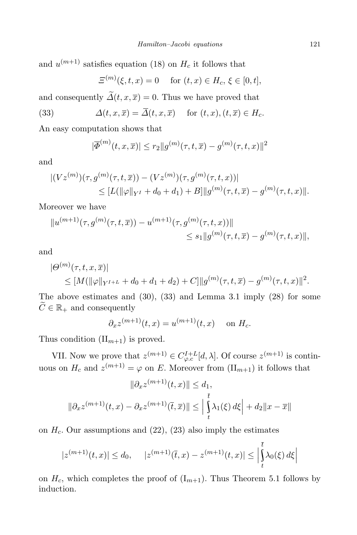and  $u^{(m+1)}$  satisfies equation (18) on  $H_c$  it follows that

$$
\Xi^{(m)}(\xi, t, x) = 0 \quad \text{for } (t, x) \in H_c, \xi \in [0, t],
$$

and consequently  $\widetilde{\Delta}(t, x, \overline{x}) = 0$ . Thus we have proved that

(33) 
$$
\Delta(t, x, \overline{x}) = \overline{\Delta}(t, x, \overline{x}) \quad \text{for } (t, x), (t, \overline{x}) \in H_c.
$$

An easy computation shows that

$$
|\overline{\Phi}^{(m)}(t, x, \overline{x})| \le r_2 \|g^{(m)}(\tau, t, \overline{x}) - g^{(m)}(\tau, t, x)\|^2
$$

and

$$
\begin{aligned} |(Vz^{(m)})(\tau, g^{(m)}(\tau, t, \overline{x})) - (Vz^{(m)})(\tau, g^{(m)}(\tau, t, x))| \\ &\leq [L(\|\varphi\|_{Y^I} + d_0 + d_1) + B] \|g^{(m)}(\tau, t, \overline{x}) - g^{(m)}(\tau, t, x)\|. \end{aligned}
$$

Moreover we have

$$
||u^{(m+1)}(\tau, g^{(m)}(\tau, t, \overline{x})) - u^{(m+1)}(\tau, g^{(m)}(\tau, t, x))||
$$
  
\$\leq s\_1 || g^{(m)}(\tau, t, \overline{x}) - g^{(m)}(\tau, t, x)||\$,

and

$$
|\Theta^{(m)}(\tau,t,x,\overline{x})|
$$
  
\n
$$
\leq [M(||\varphi||_{Y^{I+L}} + d_0 + d_1 + d_2) + C] ||g^{(m)}(\tau,t,\overline{x}) - g^{(m)}(\tau,t,x)||^2.
$$

The above estimates and (30), (33) and Lemma 3.1 imply (28) for some  $\widetilde{C} \in \mathbb{R}_+$  and consequently

$$
\partial_x z^{(m+1)}(t,x) = u^{(m+1)}(t,x) \quad \text{on } H_c.
$$

Thus condition  $(II_{m+1})$  is proved.

VII. Now we prove that  $z^{(m+1)} \in C^{I+L}_{\varphi,c}[d,\lambda]$ . Of course  $z^{(m+1)}$  is continuous on  $H_c$  and  $z^{(m+1)} = \varphi$  on *E*. Moreover from  $(\Pi_{m+1})$  it follows that

$$
\|\partial_x z^{(m+1)}(t,x)\| \le d_1,
$$
  

$$
\|\partial_x z^{(m+1)}(t,x) - \partial_x z^{(m+1)}(\overline{t},\overline{x})\| \le \left|\int\limits_t^{\overline{t}} \lambda_1(\xi) d\xi\right| + d_2 \|x - \overline{x}\|
$$

on  $H_c$ . Our assumptions and  $(22)$ ,  $(23)$  also imply the estimates

$$
|z^{(m+1)}(t,x)| \le d_0, \quad |z^{(m+1)}(\bar{t},x) - z^{(m+1)}(t,x)| \le \left| \int\limits_t^{\bar{t}} \lambda_0(\xi) d\xi \right|
$$

on  $H_c$ , which completes the proof of  $(I_{m+1})$ . Thus Theorem 5.1 follows by induction.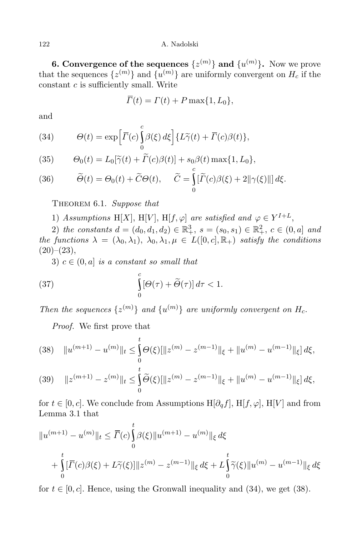**6. Convergence** of the sequences  $\{z^{(m)}\}$  and  $\{u^{(m)}\}$ . Now we prove that the sequences  $\{z^{(m)}\}$  and  $\{u^{(m)}\}$  are uniformly convergent on  $H_c$  if the constant *c* is sufficiently small. Write

$$
\overline{\Gamma}(t) = \Gamma(t) + P \max\{1, L_0\},\
$$

and

(34) 
$$
\Theta(t) = \exp\left[\overline{\Gamma}(c)\int_{0}^{c} \beta(\xi) d\xi\right] \{L\widetilde{\gamma}(t) + \overline{\Gamma}(c)\beta(t)\},
$$

(35) 
$$
\Theta_0(t) = L_0[\widetilde{\gamma}(t) + \widetilde{\Gamma}(c)\beta(t)] + s_0\beta(t) \max\{1, L_0\},
$$

(36) 
$$
\widetilde{\Theta}(t) = \Theta_0(t) + \widetilde{C}\Theta(t), \quad \widetilde{C} = \int_0^{\infty} [\widetilde{\Gamma}(c)\beta(\xi) + 2\|\gamma(\xi)\|] d\xi.
$$

Theorem 6.1. *Suppose that*

1) *Assumptions* H[X], H[V], H[f,  $\varphi$ ] *are satisfied and*  $\varphi \in Y^{I+L}$ ,

2) *the constants*  $d = (d_0, d_1, d_2) \in \mathbb{R}^3_+$ ,  $s = (s_0, s_1) \in \mathbb{R}^2_+$ ,  $c \in (0, a]$  *and the functions*  $\lambda = (\lambda_0, \lambda_1), \lambda_0, \lambda_1, \mu \in L([0, c], \mathbb{R}_+)$  *satisfy the conditions*  $(20)–(23),$ 

3)  $c \in (0, a]$  *is a constant so small that* 

(37) 
$$
\int_{0}^{c} [\Theta(\tau) + \widetilde{\Theta}(\tau)] d\tau < 1.
$$

*Then the sequences*  $\{z^{(m)}\}$  *and*  $\{u^{(m)}\}$  *are uniformly convergent on*  $H_c$ *.* 

*Proof.* We first prove that

$$
(38) \quad \|u^{(m+1)} - u^{(m)}\|_{t} \le \int_{0}^{t} \Theta(\xi) [\|z^{(m)} - z^{(m-1)}\|_{\xi} + \|u^{(m)} - u^{(m-1)}\|_{\xi}] d\xi,
$$

(39) 
$$
||z^{(m+1)} - z^{(m)}||_t \le \int_0^t \widetilde{\Theta}(\xi) [\|z^{(m)} - z^{(m-1)}\|_{\xi} + \|u^{(m)} - u^{(m-1)}\|_{\xi}] d\xi,
$$

for  $t \in [0, c]$ . We conclude from Assumptions H $[\partial_{\alpha} f]$ , H $[f, \varphi]$ , H $[V]$  and from Lemma 3.1 that

$$
||u^{(m+1)} - u^{(m)}||_{t} \le \overline{\Gamma}(c) \int_{0}^{t} \beta(\xi) ||u^{(m+1)} - u^{(m)}||_{\xi} d\xi
$$
  
+ 
$$
\int_{0}^{t} [\overline{\Gamma}(c)\beta(\xi) + L\widetilde{\gamma}(\xi)] ||z^{(m)} - z^{(m-1)}||_{\xi} d\xi + L \int_{0}^{t} \widetilde{\gamma}(\xi) ||u^{(m)} - u^{(m-1)}||_{\xi} d\xi
$$

for  $t \in [0, c]$ . Hence, using the Gronwall inequality and (34), we get (38).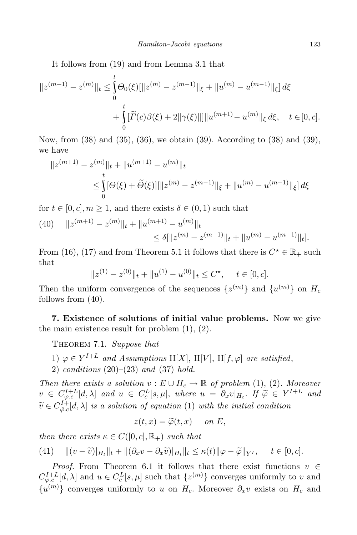It follows from (19) and from Lemma 3.1 that

$$
||z^{(m+1)} - z^{(m)}||_{t} \leq \int_{0}^{t} \Theta_{0}(\xi) [||z^{(m)} - z^{(m-1)}||_{\xi} + ||u^{(m)} - u^{(m-1)}||_{\xi}] d\xi
$$
  
+ 
$$
\int_{0}^{t} [\widetilde{\Gamma}(c)\beta(\xi) + 2||\gamma(\xi)||] ||u^{(m+1)} - u^{(m)}||_{\xi} d\xi, \quad t \in [0, c].
$$

Now, from (38) and (35), (36), we obtain (39). According to (38) and (39), we have

$$
||z^{(m+1)} - z^{(m)}||_{t} + ||u^{(m+1)} - u^{(m)}||_{t}
$$
  
\n
$$
\leq \int_{0}^{t} [\Theta(\xi) + \tilde{\Theta}(\xi)][||z^{(m)} - z^{(m-1)}||_{\xi} + ||u^{(m)} - u^{(m-1)}||_{\xi}] d\xi
$$

for  $t \in [0, c], m \ge 1$ , and there exists  $\delta \in (0, 1)$  such that

(40) 
$$
||z^{(m+1)} - z^{(m)}||_{t} + ||u^{(m+1)} - u^{(m)}||_{t}
$$
  
\n
$$
\leq \delta[||z^{(m)} - z^{(m-1)}||_{t} + ||u^{(m)} - u^{(m-1)}||_{t}].
$$

From (16), (17) and from Theorem 5.1 it follows that there is  $C^* \in \mathbb{R}_+$  such that

$$
||z^{(1)} - z^{(0)}||_t + ||u^{(1)} - u^{(0)}||_t \le C^{\star}, \quad t \in [0, c].
$$

Then the uniform convergence of the sequences  $\{z^{(m)}\}$  and  $\{u^{(m)}\}$  on  $H_c$ follows from (40).

**7. Existence of solutions of initial value problems.** Now we give the main existence result for problem  $(1), (2)$ .

Theorem 7.1. *Suppose that*

- 1)  $\varphi \in Y^{I+L}$  *and Assumptions* H[X], H[V], H[f,  $\varphi$ ] *are satisfied*,
- 2) *conditions* (20)–(23) *and* (37) *hold.*

*Then there exists a solution*  $v : E \cup H_c \rightarrow \mathbb{R}$  *of problem* (1), (2)*. Moreover*  $v \in C^{I+L}_{\varphi,c}[d,\lambda]$  and  $u \in C^L_c[s,\mu],$  where  $u = \partial_x v|_{H_c}$ . If  $\widetilde{\varphi} \in Y^{I+L}$  and  $\widetilde{v} \in C^{I+}_{\widetilde{\varphi}.c}$  $\int_{\tilde{\varphi}.c}^{U+}[d,\lambda]$  *is a solution of equation* (1) *with the initial condition* 

$$
z(t,x) = \widetilde{\varphi}(t,x) \quad on \ E,
$$

*then there exists*  $\kappa \in C([0, c], \mathbb{R}_+)$  *such that* 

(41) 
$$
\|(v-\widetilde{v})|_{H_t}\|_{t} + \|(\partial_x v - \partial_x \widetilde{v})|_{H_t}\|_{t} \le \kappa(t) \|\varphi - \widetilde{\varphi}\|_{Y^I}, \quad t \in [0, c].
$$

*Proof.* From Theorem 6.1 it follows that there exist functions *v* ∈  $C^{I+L}_{\varphi,c}[d,\lambda]$  and  $u \in C_c^L[s,\mu]$  such that  $\{z^{(m)}\}$  converges uniformly to *v* and  $\{u^{(m)}\}$  converges uniformly to *u* on *H<sub>c</sub>*. Moreover  $\partial_x v$  exists on *H<sub>c</sub>* and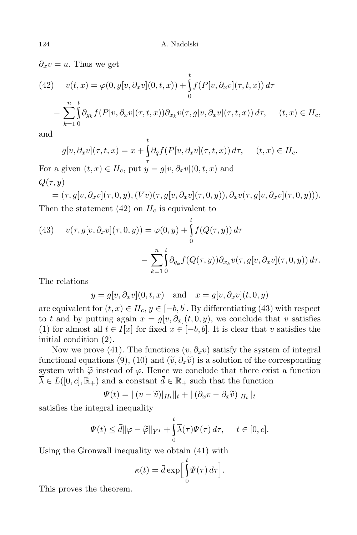$\partial_x v = u$ . Thus we get

(42) 
$$
v(t,x) = \varphi(0,g[v,\partial_x v](0,t,x)) + \int_0^t f(P[v,\partial_x v](\tau,t,x)) d\tau
$$

$$
- \sum_{k=1}^n \int_0^t \partial_{g_k} f(P[v,\partial_x v](\tau,t,x)) \partial_{x_k} v(\tau,g[v,\partial_x v](\tau,t,x)) d\tau, \quad (t,x) \in H_c,
$$

and

$$
g[v, \partial_x v](\tau, t, x) = x + \int_{\tau}^{\tau} \partial_q f(P[v, \partial_x v](\tau, t, x)) d\tau, \quad (t, x) \in H_c.
$$

For a given  $(t, x) \in H_c$ , put  $\overline{y} = g[v, \partial_x v](0, t, x)$  and  $Q(\tau, y)$ 

*t*

$$
= (\tau, g[v, \partial_x v](\tau, 0, y), (Vv)(\tau, g[v, \partial_x v](\tau, 0, y)), \partial_x v(\tau, g[v, \partial_x v](\tau, 0, y))).
$$
  
Then the statement (42) on  $H_c$  is equivalent to

(43) 
$$
v(\tau, g[v, \partial_x v](\tau, 0, y)) = \varphi(0, y) + \int_0^t f(Q(\tau, y)) d\tau
$$

$$
- \sum_{k=1}^n \int_0^t \partial_{q_k} f(Q(\tau, y)) \partial_{x_k} v(\tau, g[v, \partial_x v](\tau, 0, y)) d\tau.
$$

The relations

$$
y = g[v, \partial_x v](0, t, x)
$$
 and  $x = g[v, \partial_x v](t, 0, y)$ 

are equivalent for  $(t, x) \in H_c$ ,  $y \in [-b, b]$ . By differentiating (43) with respect to *t* and by putting again  $x = g[v, \partial_x](t, 0, y)$ , we conclude that *v* satisfies (1) for almost all  $t \in I[x]$  for fixed  $x \in [-b, b]$ . It is clear that  $v$  satisfies the initial condition (2).

Now we prove (41). The functions  $(v, \partial_x v)$  satisfy the system of integral functional equations (9), (10) and  $(\tilde{v}, \partial_x \tilde{v})$  is a solution of the corresponding system with  $\tilde{\varphi}$  instead of  $\varphi$ . Hence we conclude that there exist a function  $\overline{\lambda} \in L([0, c], \mathbb{R}_+)$  and a constant  $\overline{d} \in \mathbb{R}_+$  such that the function

$$
\Psi(t) = \|(v - \widetilde{v})|_{H_t}\|_t + \|(\partial_x v - \partial_x \widetilde{v})|_{H_t}\|_t
$$

satisfies the integral inequality

$$
\Psi(t) \le \overline{d} \|\varphi - \widetilde{\varphi}\|_{Y^I} + \int_0^t \overline{\lambda}(\tau) \Psi(\tau) d\tau, \quad t \in [0, c].
$$

Using the Gronwall inequality we obtain (41) with

$$
\kappa(t) = \bar{d} \exp \left[ \int_0^t \Psi(\tau) d\tau \right].
$$

This proves the theorem.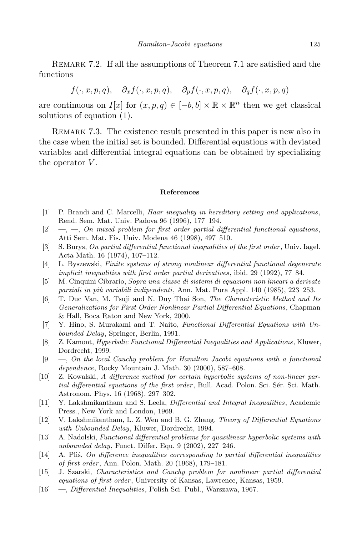REMARK 7.2. If all the assumptions of Theorem 7.1 are satisfied and the functions

 $f(\cdot, x, p, q), \quad \partial_x f(\cdot, x, p, q), \quad \partial_n f(\cdot, x, p, q), \quad \partial_q f(\cdot, x, p, q)$ 

are continuous on *I*[*x*] for  $(x, p, q) \in [-b, b] \times \mathbb{R} \times \mathbb{R}^n$  then we get classical solutions of equation (1).

REMARK 7.3. The existence result presented in this paper is new also in the case when the initial set is bounded. Differential equations with deviated variables and differential integral equations can be obtained by specializing the operator *V* .

## **References**

- [1] P. Brandi and C. Marcelli, *Haar inequality in hereditary setting and applications*, Rend. Sem. Mat. Univ. Padova 96 (1996), 177–194.
- [2] —, —, *On mixed problem for first order partial differential functional equations*, Atti Sem. Mat. Fis. Univ. Modena 46 (1998), 497–510.
- [3] S. Burys, *On partial differential functional inequalities of the first order*, Univ. Iagel. Acta Math. 16 (1974), 107–112.
- [4] L. Byszewski, *Finite systems of strong nonlinear differential functional degenerate implicit inequalities with first order partial derivatives*, ibid. 29 (1992), 77–84.
- [5] M. Cinquini Cibrario, *Sopra una classe di sistemi di equazioni non lineari a derivate parziali in piu` variabili indipendenti*, Ann. Mat. Pura Appl. 140 (1985), 223–253.
- [6] T. Duc Van, M. Tsuji and N. Duy Thai Son, *The Characteristic Method and Its Generalizations for First Order Nonlinear Partial Differential Equations*, Chapman & Hall, Boca Raton and New York, 2000.
- [7] Y. Hino, S. Murakami and T. Naito, *Functional Differential Equations with Unbounded Delay*, Springer, Berlin, 1991.
- [8] Z. Kamont, *Hyperbolic Functional Differential Inequalities and Applications*, Kluwer, Dordrecht, 1999.
- [9] —, *On the local Cauchy problem for Hamilton Jacobi equations with a functional dependence*, Rocky Mountain J. Math. 30 (2000), 587–608.
- [10] Z. Kowalski, *A difference method for certain hyperbolic systems of non-linear partial differential equations of the first order*, Bull. Acad. Polon. Sci. Sér. Sci. Math. Astronom. Phys. 16 (1968), 297–302.
- [11] Y. Lakshmikantham and S. Leela, *Differential and Integral Inequalities*, Academic Press., New York and London, 1969.
- [12] V. Lakshmikantham, L. Z. Wen and B. G. Zhang, *Theory of Differential Equations with Unbounded Delay*, Kluwer, Dordrecht, 1994.
- [13] A. Nadolski, *Functional differential problems for quasilinear hyperbolic systems with unbounded delay*, Funct. Differ. Equ. 9 (2002), 227–246.
- [14] A. Pli´s, *On difference inequalities corresponding to partial differential inequalities of first order*, Ann. Polon. Math. 20 (1968), 179–181.
- [15] J. Szarski, *Characteristics and Cauchy problem for nonlinear partial differential equations of first order*, University of Kansas, Lawrence, Kansas, 1959.
- [16] —, *Differential Inequalities*, Polish Sci. Publ., Warszawa, 1967.